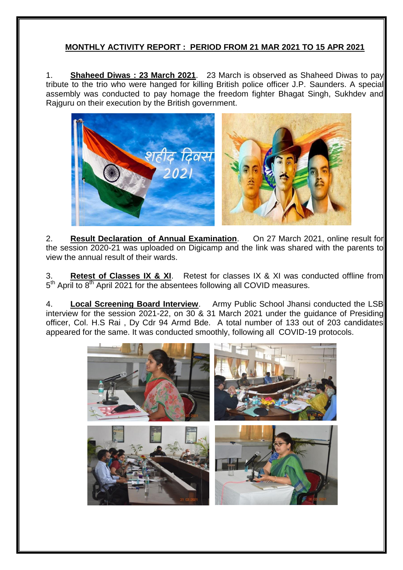## **MONTHLY ACTIVITY REPORT : PERIOD FROM 21 MAR 2021 TO 15 APR 2021**

1. **Shaheed Diwas : 23 March 2021**. 23 March is observed as Shaheed Diwas to pay tribute to the trio who were hanged for killing British police officer J.P. Saunders. A special assembly was conducted to pay homage the freedom fighter Bhagat Singh, Sukhdev and Rajguru on their execution by the British government.



2. **Result Declaration of Annual Examination**. On 27 March 2021, online result for the session 2020-21 was uploaded on Digicamp and the link was shared with the parents to view the annual result of their wards.

3. **Retest of Classes IX & XI**. Retest for classes IX & XI was conducted offline from 5<sup>th</sup> April to 8<sup>th</sup> April 2021 for the absentees following all COVID measures.

4. **Local Screening Board Interview**. Army Public School Jhansi conducted the LSB interview for the session 2021-22, on 30 & 31 March 2021 under the guidance of Presiding officer, Col. H.S Rai , Dy Cdr 94 Armd Bde. A total number of 133 out of 203 candidates appeared for the same. It was conducted smoothly, following all COVID-19 protocols.

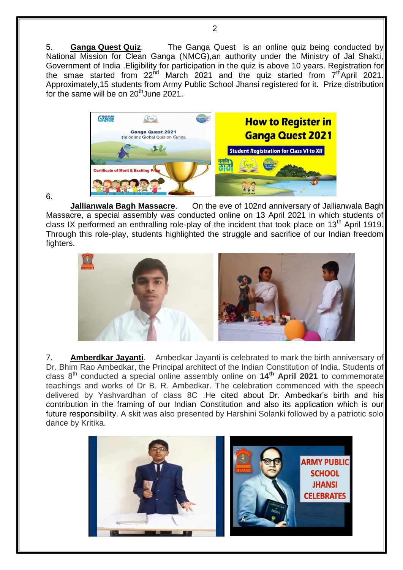5. **Ganga Quest Quiz**. The Ganga Quest is an online quiz being conducted by National Mission for Clean Ganga (NMCG), an authority under the Ministry of Jal Shakti, Government of India .Eligibility for participation in the quiz is above 10 years. Registration for the smae started from  $22^{nd}$  March 2021 and the quiz started from  $7<sup>th</sup>$ April 2021. Approximately,15 students from Army Public School Jhansi registered for it. Prize distribution for the same will be on  $20<sup>th</sup>$  June 2021.



## 6.

**Jallianwala Bagh Massacre.** On the eve of 102nd anniversary of Jallianwala Bagh Massacre, a special assembly was conducted online on 13 April 2021 in which students of class IX performed an enthralling role-play of the incident that took place on  $13<sup>th</sup>$  April 1919. Through this role-play, students highlighted the struggle and sacrifice of our Indian freedom fighters.



7. **Amberdkar Jayanti**. Ambedkar Jayanti is celebrated to mark the birth anniversary of Dr. Bhim Rao Ambedkar, the Principal architect of the Indian Constitution of India. Students of class 8th conducted a special online assembly online on **14th April 2021** to commemorate teachings and works of Dr B. R. Ambedkar. The celebration commenced with the speech delivered by Yashvardhan of class 8C .He cited about Dr. Ambedkar's birth and his contribution in the framing of our Indian Constitution and also its application which is our future responsibility. A skit was also presented by Harshini Solanki followed by a patriotic solo dance by Kritika.



 $\mathfrak{p}$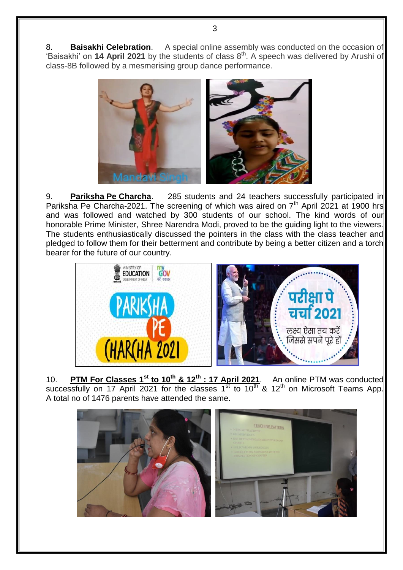8. **Baisakhi Celebration**. A special online assembly was conducted on the occasion of 'Baisakhi' on **14 April 2021** by the students of class 8th. A speech was delivered by Arushi of class-8B followed by a mesmerising group dance performance.



9. **Pariksha Pe Charcha**. 285 students and 24 teachers successfully participated in Pariksha Pe Charcha-2021. The screening of which was aired on  $7<sup>th</sup>$  April 2021 at 1900 hrs and was followed and watched by 300 students of our school. The kind words of our honorable Prime Minister, Shree Narendra Modi, proved to be the guiding light to the viewers. The students enthusiastically discussed the pointers in the class with the class teacher and pledged to follow them for their betterment and contribute by being a better citizen and a torch bearer for the future of our country.



10. **PTM For Classes 1st to 10th & 12th : 17 April 2021**. An online PTM was conducted successfully on 17 April 2021 for the classes 1<sup>st</sup> to 10<sup>th</sup> & 12<sup>th</sup> on Microsoft Teams App. A total no of 1476 parents have attended the same.